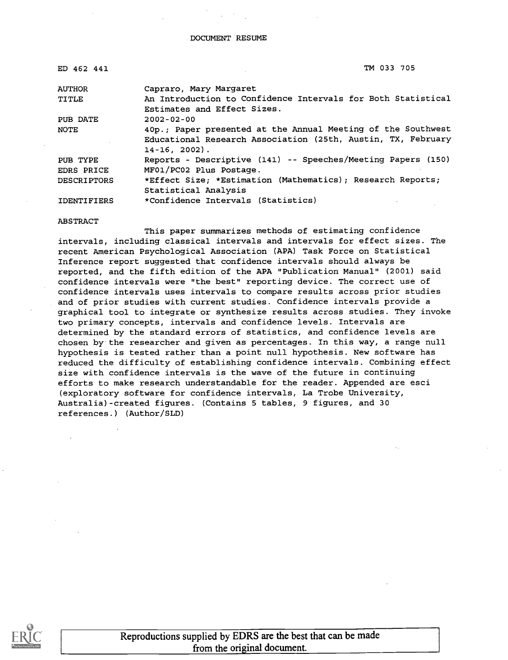| ED 462 441         | TM 033 705                                                   |
|--------------------|--------------------------------------------------------------|
| <b>AUTHOR</b>      | Capraro, Mary Margaret                                       |
| TITLE              | An Introduction to Confidence Intervals for Both Statistical |
|                    | Estimates and Effect Sizes.                                  |
| PUB DATE           | $2002 - 02 - 00$                                             |
| NOTE               | 40p.; Paper presented at the Annual Meeting of the Southwest |
|                    | Educational Research Association (25th, Austin, TX, February |
|                    | $14-16, 2002$ .                                              |
| PUB TYPE           | Reports - Descriptive (141) -- Speeches/Meeting Papers (150) |
| <b>EDRS PRICE</b>  | MF01/PC02 Plus Postage.                                      |
| <b>DESCRIPTORS</b> | *Effect Size; *Estimation (Mathematics); Research Reports;   |
|                    | Statistical Analysis                                         |
| <b>IDENTIFIERS</b> | *Confidence Intervals (Statistics)                           |

ABSTRACT

This paper summarizes methods of estimating confidence intervals, including classical intervals and intervals for effect sizes. The recent American Psychological Association (APA) Task Force on Statistical Inference report suggested that confidence intervals should always be reported, and the fifth edition of the APA "Publication Manual" (2001) said confidence intervals were "the best" reporting device. The correct use of confidence intervals uses intervals to compare results across prior studies and of prior studies with current studies. Confidence intervals provide a graphical tool to integrate or synthesize results across studies. They invoke two primary concepts, intervals and confidence levels. Intervals are determined by the standard errors of statistics, and confidence levels are chosen by the researcher and given as percentages. In this way, a range null hypothesis is tested rather than a point null hypothesis. New software has reduced the difficulty of establishing confidence intervals. Combining effect size with confidence intervals is the wave of the future in continuing efforts to make research understandable for the reader. Appended are esci (exploratory software for confidence intervals, La Trobe University, Australia) -created figures. (Contains 5 tables, 9 figures, and 30 references.) (Author/SLD)

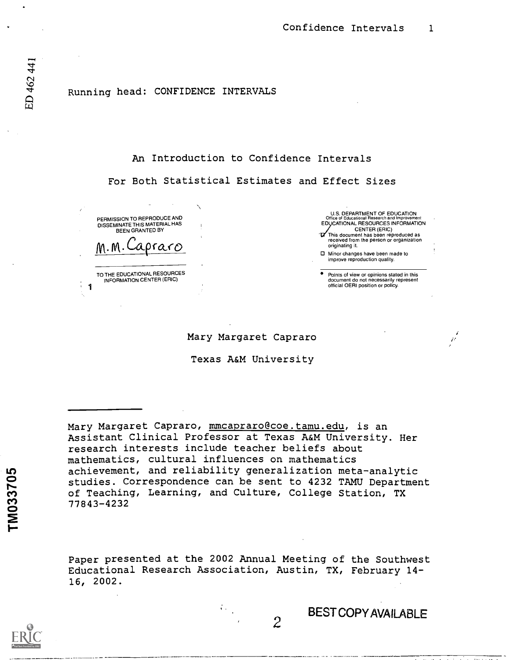## Running head: CONFIDENCE INTERVALS

## An Introduction to Confidence Intervals

For Both Statistical Estimates and Effect Sizes

PERMISSION TO REPRODUCE AND DISSEMINATE THIS MATERIAL HAS BEEN GRANTED BY pra.co

TO THE EDUCATIONAL RESOURCES INFORMATION CENTER (ERIC)

1

U.S. DEPARTMENT OF EDUCATION<br>Office of Educational Research and Improvement<br>EDUCATIONAL RESOURCES INFORMATION CENTER (ERIC) This document has been reproduced as received from the person or organization

originating it. 0 Minor changes have been made to improve reproduction quality.

Points of view or opinions stated in this document do not necessarily represent official OERI position or policy.

Mary Margaret Capraro

Texas A&M University

Mary Margaret Capraro, mmcapraro@coe.tamu.edu, is an Assistant Clinical Professor at Texas A&M University. Her research interests include teacher beliefs about mathematics, cultural influences on mathematics achievement, and reliability generalization meta-analytic studies. Correspondence can be sent to 4232 TAMU Department of Teaching, Learning, and Culture, College Station, TX 77843-4232

Paper presented at the 2002 Annual Meeting of the Southwest Educational Research Association, Austin, TX, February 14- 16, 2002.

 $\overline{2}$ 

BESTCOPYAVAILABLE

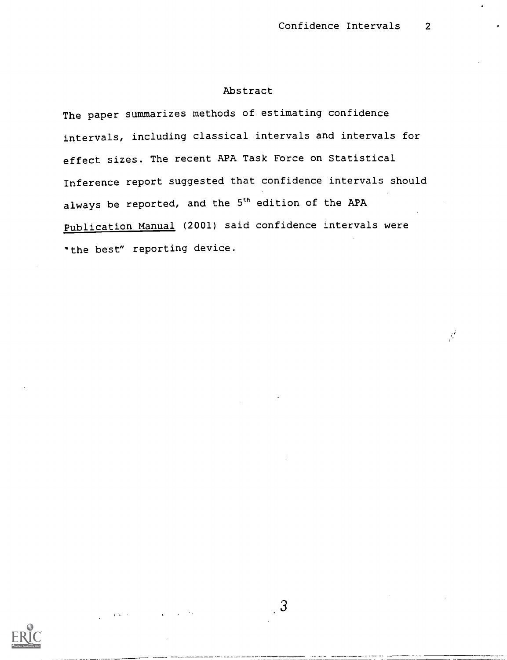$\mathcal{J}'$ 

## Abstract

The paper summarizes methods of estimating confidence intervals, including classical intervals and intervals for effect sizes. The recent APA Task Force on Statistical Inference report suggested that confidence intervals should always be reported, and the 5<sup>th</sup> edition of the APA Publication Manual (2001) said confidence intervals were "the best" reporting device.

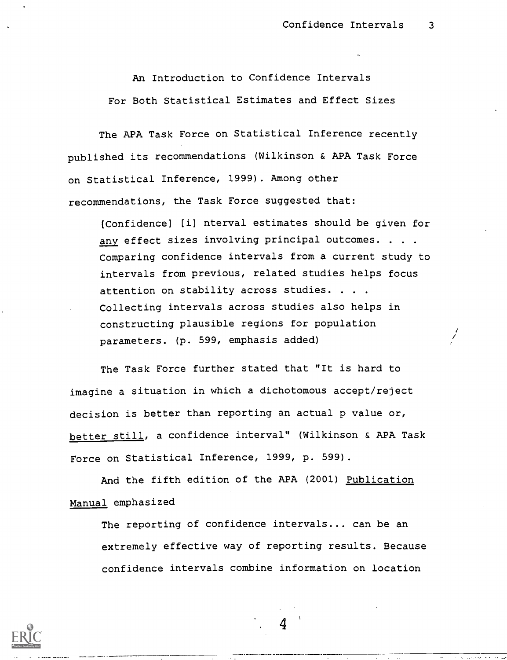An Introduction to Confidence Intervals For Both Statistical Estimates and Effect Sizes

The APA Task Force on Statistical Inference recently published its recommendations (Wilkinson & APA Task Force on Statistical Inference, 1999) . Among other recommendations, the Task Force suggested that:

[Confidence] [i] nterval estimates should be given for any effect sizes involving principal outcomes. . . . Comparing confidence intervals from a current study to intervals from previous, related studies helps focus attention on stability across studies. . . . Collecting intervals across studies also helps in constructing plausible regions for population parameters. (p. 599, emphasis added)

The Task Force further stated that "It is hard to imagine a situation in which a dichotomous accept/reject decision is better than reporting an actual p value or, better still, a confidence interval" (Wilkinson & APA Task Force on Statistical Inference, 1999, p. 599).

And the fifth edition of the APA (2001) Publication Manual emphasized

The reporting of confidence intervals.., can be an extremely effective way of reporting results. Because confidence intervals combine information on location

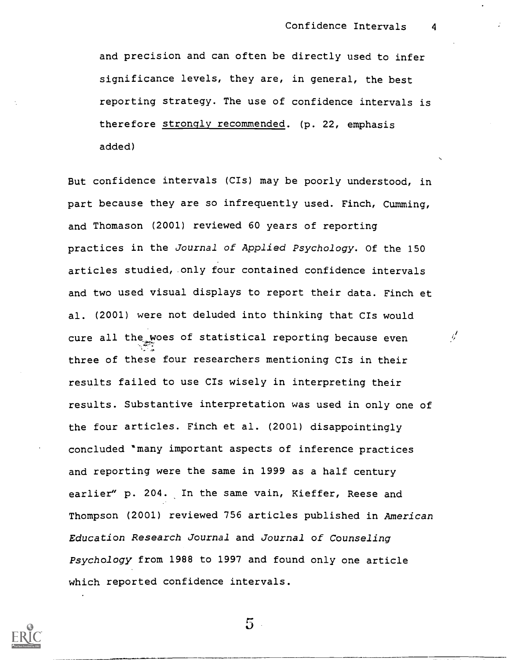and precision and can often be directly used to infer significance levels, they are, in general, the best reporting strategy. The use of confidence intervals is therefore strongly recommended. (p. 22, emphasis added)

But confidence intervals (CIs) may be poorly understood, in part because they are so infrequently used. Finch, Cumming, and Thomason (2001) reviewed 60 years of reporting practices in the Journal of Applied Psychology. Of the 150 articles studied, only four contained confidence intervals and two used visual displays to report their data. Finch et al. (2001) were not deluded into thinking that CIs would cure all the woes of statistical reporting because even  $\psi'$ three of these four researchers mentioning CIs in their results failed to use CIs wisely in interpreting their results. Substantive interpretation was used in only one of the four articles. Finch et al. (2001) disappointingly concluded 'many important aspects of inference practices and reporting were the same in 1999 as a half century earlier" p. 204. In the same vain, Kieffer, Reese and Thompson (2001) reviewed 756 articles published in American Education Research journal and Journal of Counseling Psychology from 1988 to 1997 and found only one article which reported confidence intervals.



 $5 -$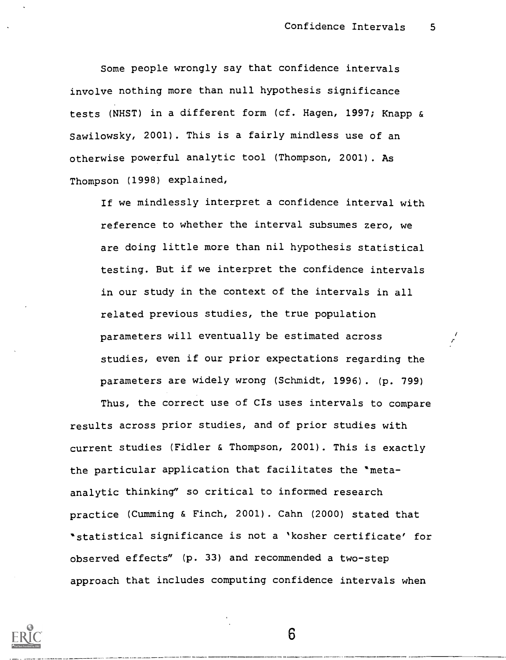$\bar{r}$ 

Some people wrongly say that confidence intervals involve nothing more than null hypothesis significance tests (NHST) in a different form (cf. Hagen, 1997; Knapp & Sawilowsky, 2001) . This is a fairly mindless use of an otherwise powerful analytic tool (Thompson, 2001) . As Thompson (1998) explained,

If we mindlessly interpret a confidence interval with reference to whether the interval subsumes zero, we are doing little more than nil hypothesis statistical testing. But if we interpret the confidence intervals in our study in the context of the intervals in all related previous studies, the true population parameters will eventually be estimated across studies, even if our prior expectations regarding the parameters are widely wrong (Schmidt, 1996). (p. 799)

Thus, the correct use of CIs uses intervals to compare results across prior studies, and of prior studies with current studies (Fidler & Thompson, 2001). This is exactly the particular application that facilitates the "metaanalytic thinking" so critical to informed research practice (Cumming & Finch, 2001). Cahn (2000) stated that 'statistical significance is not a 'kosher certificate' for observed effects" (p. 33) and recommended a two-step approach that includes computing confidence intervals when

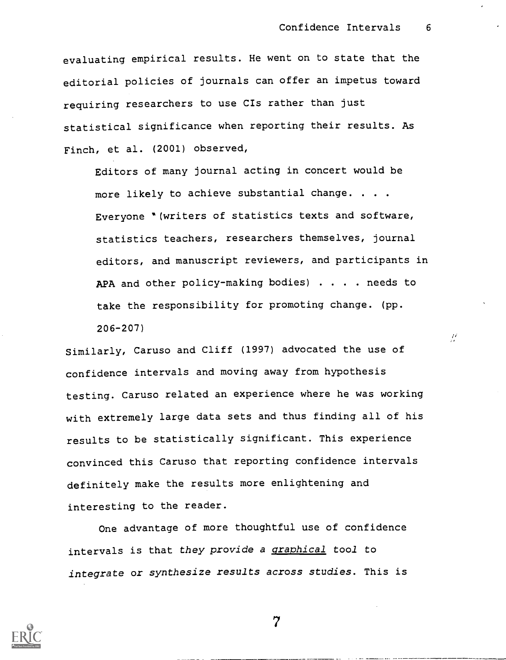$\mathcal{L}$ 

evaluating empirical results. He went on to state that the editorial policies of journals can offer an impetus toward requiring researchers to use CIs rather than just statistical significance when reporting their results. As Finch, et al. (2001) observed,

Editors of many journal acting in concert would be more likely to achieve substantial change. . . . Everyone "(writers of statistics texts and software, statistics teachers, researchers themselves, journal editors, and manuscript reviewers, and participants in APA and other policy-making bodies) . . . needs to take the responsibility for promoting change. (pp. 206-207)

Similarly, Caruso and Cliff (1997) advocated the use of confidence intervals and moving away from hypothesis testing. Caruso related an experience where he was working with extremely large data sets and thus finding all of his results to be statistically significant. This experience convinced this Caruso that reporting confidence intervals definitely make the results more enlightening and interesting to the reader.

One advantage of more thoughtful use of confidence intervals is that they provide a graphical tool to integrate or synthesize results across studies. This is



 $\overline{7}$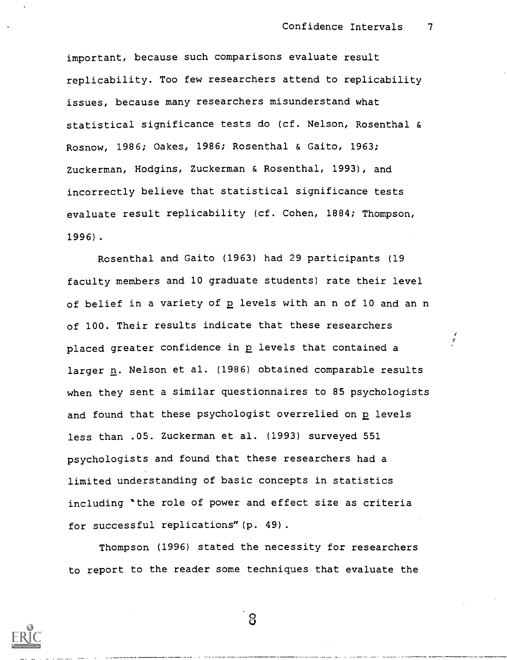important, because such comparisons evaluate result replicability. Too few researchers attend to replicability issues, because many researchers misunderstand what statistical significance tests do (cf. Nelson, Rosenthal & Rosnow, 1986; Oakes, 1986; Rosenthal & Gaito, 1963; Zuckerman, Hodgins, Zuckerman & Rosenthal, 1993), and incorrectly believe that statistical significance tests evaluate result replicability (cf. Cohen, 1884; Thompson, 1996).

Rosenthal and Gaito (1963) had 29 participants (19 faculty members and 10 graduate students) rate their level of belief in a variety of p levels with an n of 10 and an n of 100. Their results indicate that these researchers placed greater confidence in  $p$  levels that contained a  $\overrightarrow{a}$ larger  $n$ . Nelson et al. (1986) obtained comparable results when they sent a similar questionnaires to 85 psychologists and found that these psychologist overrelied on p levels less than .05. Zuckerman et al. (1993) surveyed 551 psychologists and found that these researchers had a limited understanding of basic concepts in statistics including "the role of power and effect size as criteria for successful replications"(p. 49).

Thompson (1996) stated the necessity for researchers to report to the reader some techniques that evaluate the

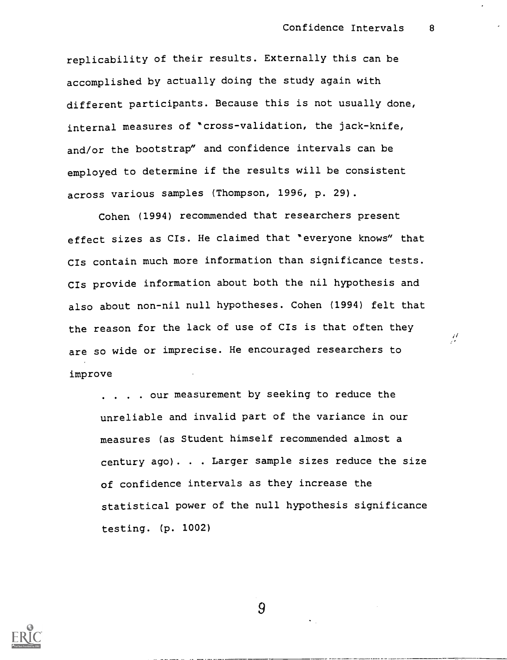replicability of their results. Externally this can be accomplished by actually doing the study again with different participants. Because this is not usually done, internal measures of "cross-validation, the jack-knife, and/or the bootstrap" and confidence intervals can be employed to determine if the results will be consistent across various samples (Thompson, 1996, p. 29).

Cohen (1994) recommended that researchers present effect sizes as CIs. He claimed that "everyone knows" that CIs contain much more information than significance tests. CIs provide information about both the nil hypothesis and also about non-nil null hypotheses. Cohen (1994) felt that the reason for the lack of use of CIs is that often they  $\frac{1}{2}$ are so wide or imprecise. He encouraged researchers to improve

. . . . our measurement by seeking to reduce the unreliable and invalid part of the variance in our measures (as Student himself recommended almost a century ago). . Larger sample sizes reduce the size of confidence intervals as they increase the statistical power of the null hypothesis significance testing. (p. 1002)

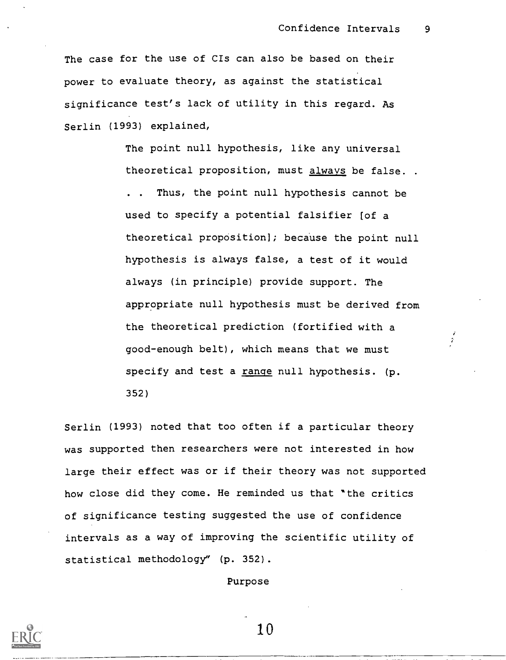The case for the use of CIs can also be based on their power to evaluate theory, as against the statistical significance test's lack of utility in this regard. As Serlin (1993) explained,

> The point null hypothesis, like any universal theoretical proposition, must always be false. . Thus, the point null hypothesis cannot be used to specify a potential falsifier (of a theoretical proposition]; because the point null hypothesis is always false, a test of it would always (in principle) provide support. The appropriate null hypothesis must be derived from the theoretical prediction (fortified with a good-enough belt), which means that we must specify and test a range null hypothesis. (p. 352)

Serlin (1993) noted that too often if a particular theory was supported then researchers were not interested in how large their effect was or if their theory was not supported how close did they come. He reminded us that 'the critics of significance testing suggested the use of confidence intervals as a way of improving the scientific utility of statistical methodology" (p. 352).

Purpose

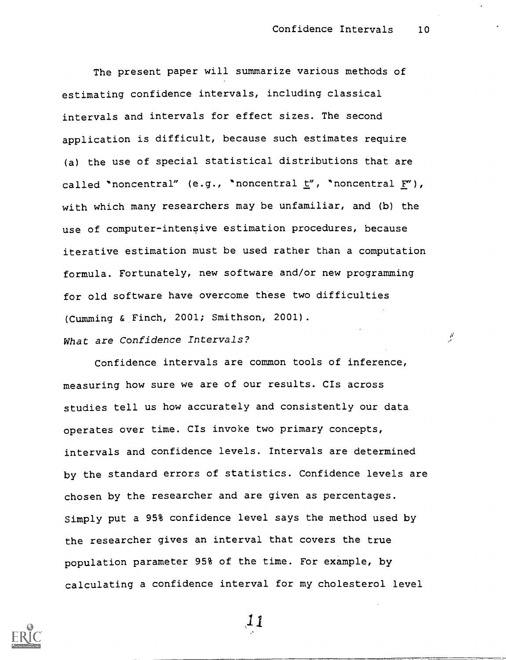$\mu$ 

The present paper will summarize various methods of estimating confidence intervals, including classical intervals and intervals for effect sizes. The second application is difficult, because such estimates require (a) the use of special statistical distributions that are called "noncentral" (e.g., "noncentral  $\underline{t}''$ , "noncentral  $\underline{F}''$ ), with which many researchers may be unfamiliar, and (b) the use of computer-intensive estimation procedures, because iterative estimation must be used rather than a computation formula. Fortunately, new software and/or new programming for old software have overcome these two difficulties (Cumming & Finch, 2001; Smithson, 2001).

## What are Confidence Intervals?

Confidence intervals are common tools of inference, measuring how sure we are of our results. CIs across studies tell us how accurately and consistently our data operates over time. CIs invoke two primary concepts, intervals and confidence levels. Intervals are determined by the standard errors of statistics. Confidence levels are chosen by the researcher and are given as percentages. Simply put a 95% confidence level says the method used by the researcher gives an interval that covers the true population parameter 95% of the time. For example, by calculating a confidence interval for my cholesterol level

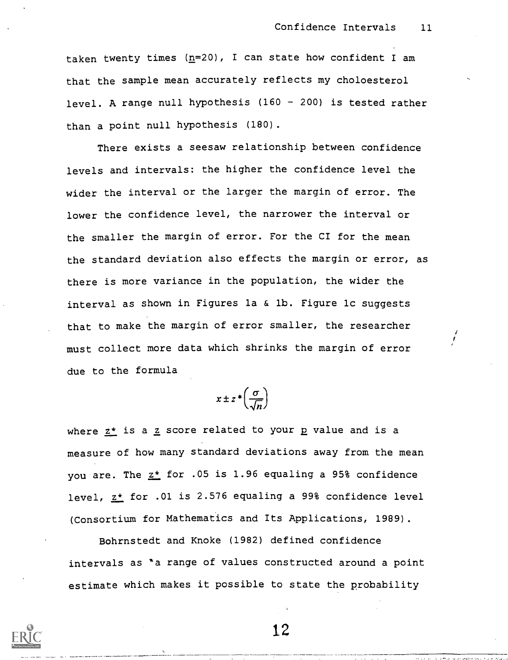taken twenty times  $(n=20)$ , I can state how confident I am that the sample mean accurately reflects my choloesterol level. A range null hypothesis  $(160 - 200)$  is tested rather than a point null hypothesis (180).

There exists a seesaw relationship between confidence levels and intervals: the higher the confidence level the wider the interval or the larger the margin of error. The lower the confidence level, the narrower the interval or the smaller the margin of error. For the CI for the mean the standard deviation also effects the margin or error, as there is more variance in the population, the wider the interval as shown in Figures la & lb. Figure lc suggests that to make the margin of error smaller, the researcher must collect more data which shrinks the margin of error due to the formula

 $x \pm z^* \left( \frac{\sigma}{\sqrt{n}} \right)$  $\sqrt{n}$ 

where  $z^*$  is a  $z$  score related to your p value and is a measure of how many standard deviations away from the mean you are. The  $z^*$  for .05 is 1.96 equaling a 95% confidence level,  $z^*$  for .01 is 2.576 equaling a 99% confidence level (Consortium for Mathematics and Its Applications, 1989).

Bohrnstedt and Knoke (1982) defined confidence intervals as 'a range of values constructed around a point estimate which makes it possible to state the probability

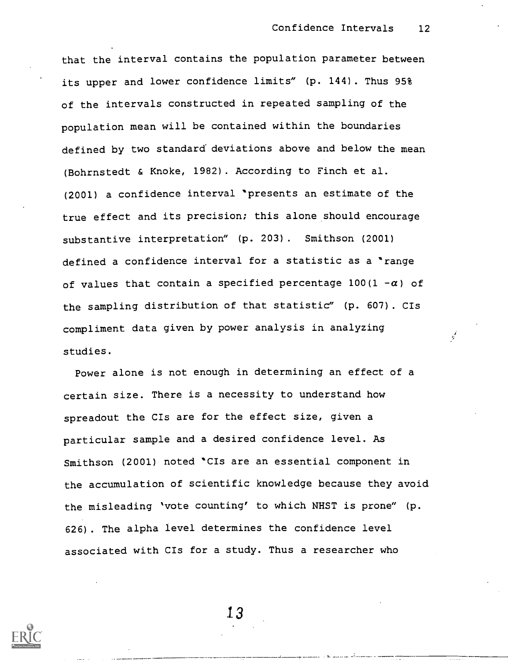that the interval contains the population parameter between its upper and lower confidence limits" (p. 144). Thus 95% of the intervals constructed in repeated sampling of the population mean will be contained within the boundaries defined by two standard deviations above and below the mean (Bohrnstedt & Knoke, 1982). According to Finch et al. (2001) a confidence interval "presents an estimate of the true effect and its precision; this alone should encourage substantive interpretation" (p. 203) . Smithson (2001) defined a confidence interval for a statistic as a "range of values that contain a specified percentage  $100(1 - \alpha)$  of the sampling distribution of that statistic" (p. 607) . CIs compliment data given by power analysis in analyzing studies.

Power alone is not enough in determining an effect of a certain size. There is a necessity to understand how spreadout the CIs are for the effect size, given a particular sample and a desired confidence level. As Smithson (2001) noted "CIs are an essential component in the accumulation of scientific knowledge because they avoid the misleading 'vote counting' to which NHST is prone" (p. 626) . The alpha level determines the confidence level associated with CIs for a study. Thus a researcher who

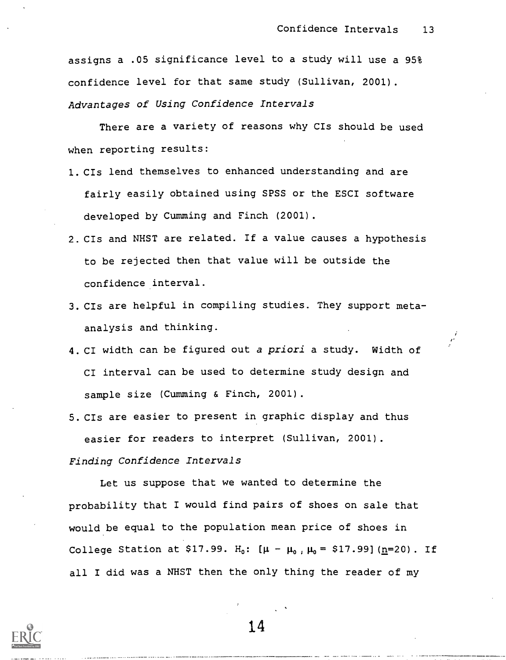assigns a .05 significance level to a study will use a 95% confidence level for that same study (Sullivan, 2001). Advantages of Using Confidence Intervals

There are a variety of reasons why CIs should be used when reporting results:

- 1.CIs lend themselves to enhanced understanding and are fairly easily obtained using SPSS or the ESCI software developed by Cumming and Finch (2001).
- 2.CIs and NHST are related. If a value causes a hypothesis to be rejected then that value will be outside the confidence interval.
- 3.CIs are helpful in compiling studies. They support metaanalysis and thinking.
- 4.CI width can be figured out a priori a study. Width of CI interval can be used to determine study design and sample size (Cumming & Finch, 2001).
- 5.CIs are easier to present in graphic display and thus easier for readers to interpret (Sullivan, 2001).

Finding Confidence Intervals

Let us suppose that we wanted to determine the probability that I would find pairs of shoes on sale that would be equal to the population mean price of shoes in College Station at \$17.99. H<sub>0</sub>:  $[\mu - \mu_0, \mu_0 = $17.99]$  (n=20). If all I did was a NHST then the only thing the reader of my

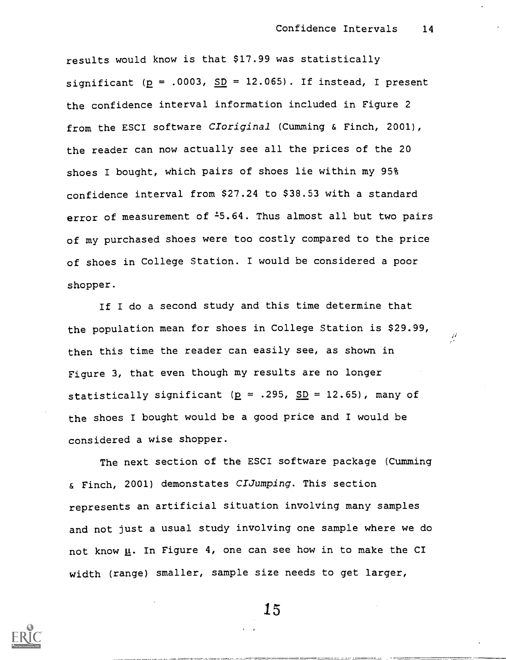results would know is that \$17.99 was statistically significant ( $p = .0003$ ,  $SD = 12.065$ ). If instead, I present the confidence interval information included in Figure 2 from the ESCI software CIoriginal (Cumming & Finch, 2001), the reader can now actually see all the prices of the 20 shoes I bought, which pairs of shoes lie within my 95% confidence interval from \$27.24 to \$38.53 with a standard error of measurement of  $\text{-}5.64$ . Thus almost all but two pairs of my purchased shoes were too costly compared to the price of shoes in College Station. I would be considered a poor shopper.

If I do a second study and this time determine that the population mean for shoes in College Station is \$29.99, then this time the reader can easily see, as shown in Figure 3, that even though my results are no longer statistically significant ( $p = .295$ ,  $SD = 12.65$ ), many of the shoes I bought would be a good price and I would be considered a wise shopper.

The next section of the ESCI software package (Cumming & Finch, 2001) demonstates CIJumping. This section represents an artificial situation involving many samples and not just a usual study involving one sample where we do not know  $\underline{\mu}$ . In Figure 4, one can see how in to make the CI width (range) smaller, sample size needs to get larger,

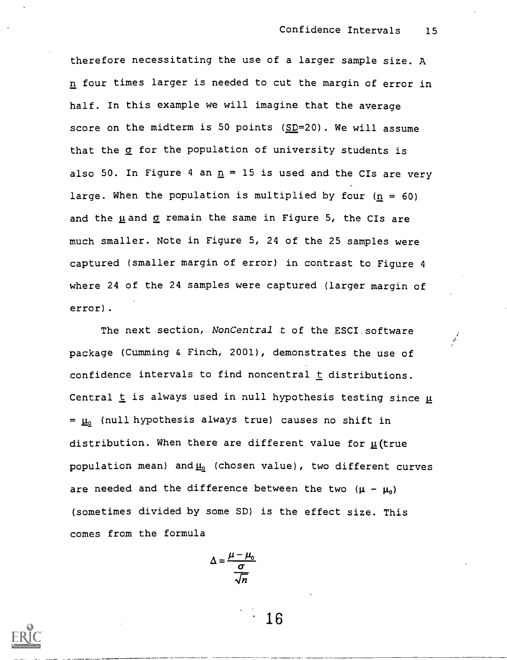therefore necessitating the use of a larger sample size. A n four times larger is needed to cut the margin of error in half. In this example we will imagine that the average score on the midterm is 50 points (SD=20) . We will assume that the  $q$  for the population of university students is also 50. In Figure 4 an  $n = 15$  is used and the CIs are very large. When the population is multiplied by four  $(n = 60)$ and the  $\mu$  and  $\sigma$  remain the same in Figure 5, the CIs are much smaller. Note in Figure 5, 24 of the 25 samples were captured (smaller margin of error) in contrast to Figure 4 where 24 of the 24 samples were captured (larger margin of error).

The next section, *NonCentral t* of the ESCI software package (Cumming & Finch, 2001), demonstrates the use of confidence intervals to find noncentral  $t$  distributions. Central  $t$  is always used in null hypothesis testing since  $\mu$  $= \mu_0$  (null hypothesis always true) causes no shift in distribution. When there are different value for  $\mu$  (true population mean) and  $\underline{\mu}_0$  (chosen value), two different curves are needed and the difference between the two  $(\mu - \mu_0)$ (sometimes divided by some SD) is the effect size. This comes from the formula

$$
\Delta = \frac{\mu - \mu_0}{\frac{\sigma}{\sqrt{n}}}
$$

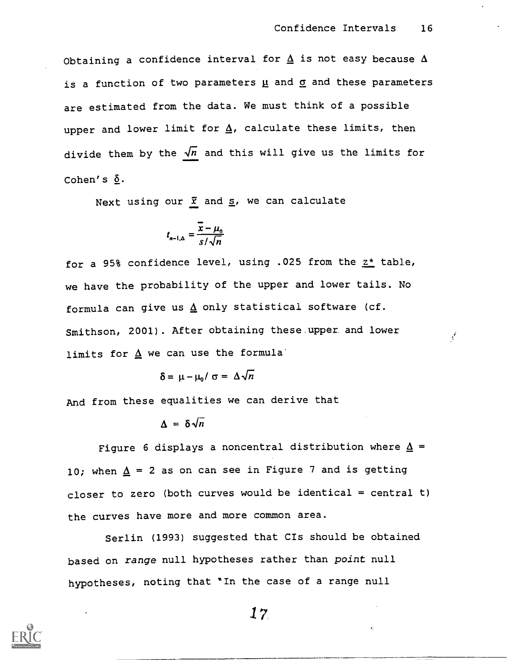Obtaining a confidence interval for  $\underline{\Delta}$  is not easy because  $\Delta$ is a function of two parameters  $\underline{\mu}$  and  $\underline{\sigma}$  and these parameters are estimated from the data. We must think of a possible upper and lower limit for  $\Delta$ , calculate these limits, then divide them by the  $\sqrt{n}$  and this will give us the limits for Cohen's  $\delta$ .

Next using our  $\bar{x}$  and  $\underline{s}$ , we can calculate

$$
t_{n-1,\Delta} = \frac{\overline{x} - \mu_0}{s/\sqrt{n}}
$$

for a 95% confidence level, using .025 from the  $z^*$  table, we have the probability of the upper and lower tails. No formula can give us  $\Delta$  only statistical software (cf. Smithson, 2001). After obtaining these upper and lower limits for  $\underline{\Delta}$  we can use the formula'

$$
\delta = \mu - \mu_0 / \sigma = \Delta \sqrt{n}
$$

And from these equalities we can derive that

$$
\Delta = \delta \sqrt{n}
$$

Figure 6 displays a noncentral distribution where  $\Delta$  = 10; when  $\Delta$  = 2 as on can see in Figure 7 and is getting closer to zero (both curves would be identical = central t) the curves have more and more common area.

Serlin (1993) suggested that CIs should be obtained based on range null hypotheses rather than point null hypotheses, noting that "In the case of a range null

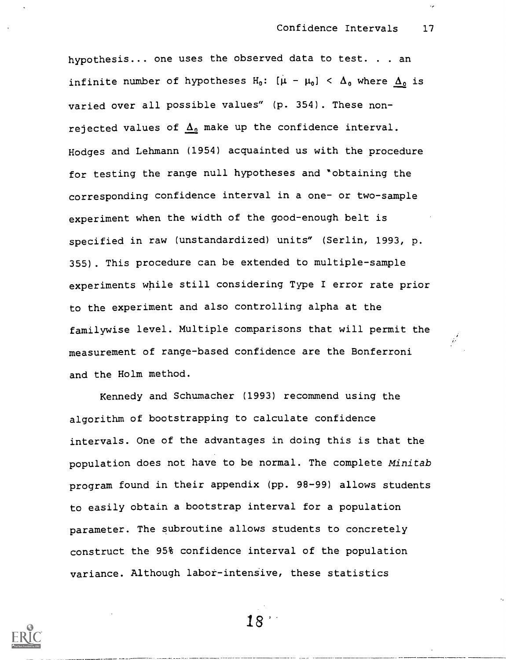hypothesis... one uses the observed data to test. . . an infinite number of hypotheses H<sub>0</sub>:  $[\mu - \mu_0] < \Delta_0$  where  $\Delta_0$  is varied over all possible values" (p. 354) . These nonrejected values of  $\Delta_0$  make up the confidence interval. Hodges and Lehmann (1954) acquainted us with the procedure for testing the range null hypotheses and "obtaining the corresponding confidence interval in a one- or two-sample experiment when the width of the good-enough belt is specified in raw (unstandardized) units" (Serlin, 1993, p. 355) . This procedure can be extended to multiple-sample experiments while still considering Type I error rate prior to the experiment and also controlling alpha at the familywise level. Multiple comparisons that will permit the measurement of range-based confidence are the Bonferroni and the Holm method.

Kennedy and Schumacher (1993) recommend using the algorithm of bootstrapping to calculate confidence intervals. One of the advantages in doing this is that the population does not have to be normal. The complete Minitab program found in their appendix (pp. 98-99) allows students to easily obtain a bootstrap interval for a population parameter. The subroutine allows students to concretely construct the 95% confidence interval of the population variance. Although labor-intensive, these statistics



18'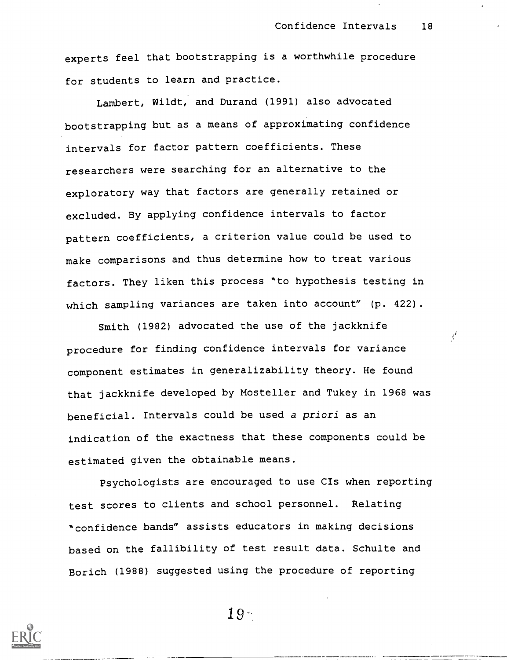¥

experts feel that bootstrapping is a worthwhile procedure for students to learn and practice.

Lambert, Wildt, and Durand (1991) also advocated bootstrapping but as a means of approximating confidence intervals for factor pattern coefficients. These researchers were searching for an alternative to the exploratory way that factors are generally retained or excluded. By applying confidence intervals to factor pattern coefficients, a criterion value could be used to make comparisons and thus determine how to treat various factors. They liken this process "to hypothesis testing in which sampling variances are taken into account" (p. 422).

Smith (1982) advocated the use of the jackknife procedure for finding confidence intervals for variance component estimates in generalizability theory. He found that jackknife developed by Mosteller and Tukey in 1968 was beneficial. Intervals could be used a priori as an indication of the exactness that these components could be estimated given the obtainable means.

Psychologists are encouraged to use CIs when reporting test scores to clients and school personnel. Relating "confidence bands" assists educators in making decisions based on the fallibility of test result data. Schulte and Borich (1988) suggested using the procedure of reporting



 $19 -$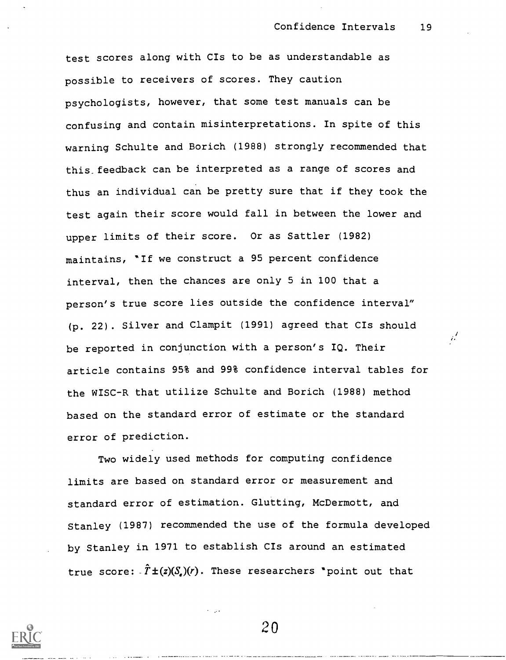test scores along with CIs to be as understandable as possible to receivers of scores. They caution psychologists, however, that some test manuals can be confusing and contain misinterpretations. In spite of this warning Schulte and Borich (1988) strongly recommended that this feedback can be interpreted as a range of scores and thus an individual can be pretty sure that if they took the test again their score would fall in between the lower and upper limits of their score. Or as Sattler (1982) maintains, 'If we construct a 95 percent confidence interval, then the chances are only 5 in 100 that a person's true score lies outside the confidence interval" (p. 22). Silver and Clampit (1991) agreed that CIs should  $\frac{1}{n}$ be reported in conjunction with a person's IQ. Their article contains 95% and 99% confidence interval tables for the WISC-R that utilize Schulte and Borich (1988) method based on the standard error of estimate or the standard error of prediction.

Two widely used methods for computing confidence limits are based on standard error or measurement and standard error of estimation. Glutting, McDermott, and Stanley (1987) recommended the use of the formula developed by Stanley in 1971 to establish CIs around an estimated true score:  $\hat{T} \pm (z)(S_z)(r)$ . These researchers 'point out that

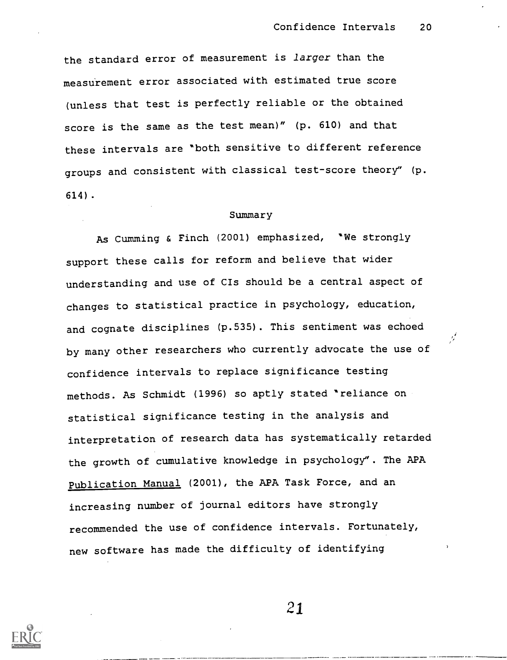the standard error of measurement is larger than the meastirement error associated with estimated true score (unless that test is perfectly reliable or the obtained score is the same as the test mean)" (p. 610) and that these intervals are "both sensitive to different reference groups and consistent with classical test-score theory" (p. 614).

#### Summary

As Cumming & Finch (2001) emphasized, "We strongly support these calls for reform and believe that wider understanding and use of CIs should be a central aspect of changes to statistical practice in psychology, education, and cognate disciplines (p.535). This sentiment was echoed  $\frac{1}{\sqrt{2}}$ by many other researchers who currently advocate the use of confidence intervals to replace significance testing methods. As Schmidt (1996) so aptly stated "reliance on statistical significance testing in the analysis and interpretation of research data has systematically retarded the growth of cumulative knowledge in psychology". The APA Publication Manual (2001), the APA Task Force, and an increasing number of journal editors have strongly recommended the use of confidence intervals. Fortunately, new software has made the difficulty of identifying

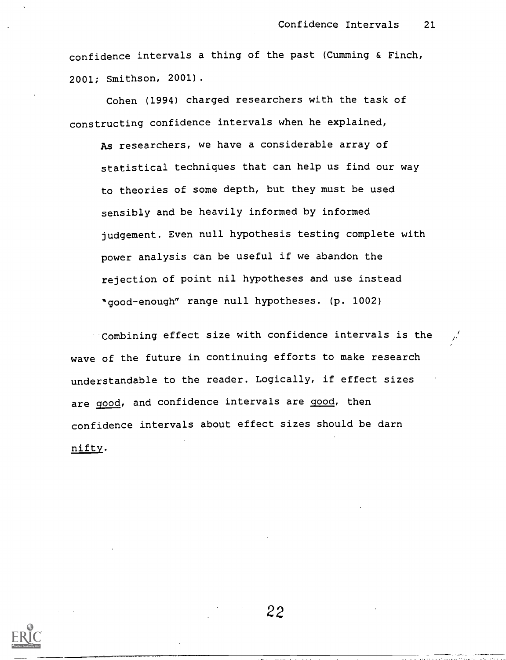confidence intervals a thing of the past (Cumming & Finch, 2001; Smithson, 2001).

Cohen (1994) charged researchers with the task of constructing confidence intervals when he explained,

As researchers, we have a considerable array of statistical techniques that can help us find our way to theories of some depth, but they must be used sensibly and be heavily informed by informed judgement. Even null hypothesis testing complete with power analysis can be useful if we abandon the rejection of point nil hypotheses and use instead "good-enough" range null hypotheses. (p. 1002)

Combining effect size with confidence intervals is the wave of the future in continuing efforts to make research understandable to the reader. Logically, if effect sizes are good, and confidence intervals are good, then confidence intervals about effect sizes should be darn nifty.

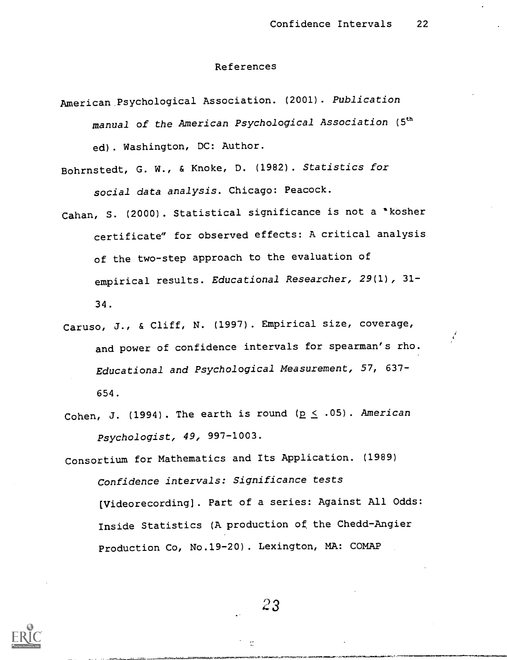#### References

- American Psychological Association. (2001). Publication manual of the American Psychological Association (5<sup>th</sup> ed). Washington, DC: Author.
- Bohrnstedt, G. W., & Knoke, D. (1982) . Statistics for social data analysis. Chicago: Peacock.
- Cahan, S. (2000). Statistical significance is not a "kosher certificate" for observed effects: A critical analysis of the two-step approach to the evaluation of empirical results. Educational Researcher, 29(1) , 31- 34.
- Caruso, J., & Cliff, N. (1997). Empirical size, coverage, and power of confidence intervals for spearman's rho. Educational and Psychological Measurement, 57, 637- 654.
- Cohen, J. (1994). The earth is round ( $p \le .05$ ). American Psychologist, 49, 997-1003.

Consortium for Mathematics and Its Application. (1989) Confidence intervals: Significance tests Wideorecording]. Part of a series: Against All Odds: Inside Statistics (A production of the Chedd-Angier Production Co, No.19-20). Lexington, MA: COMAP

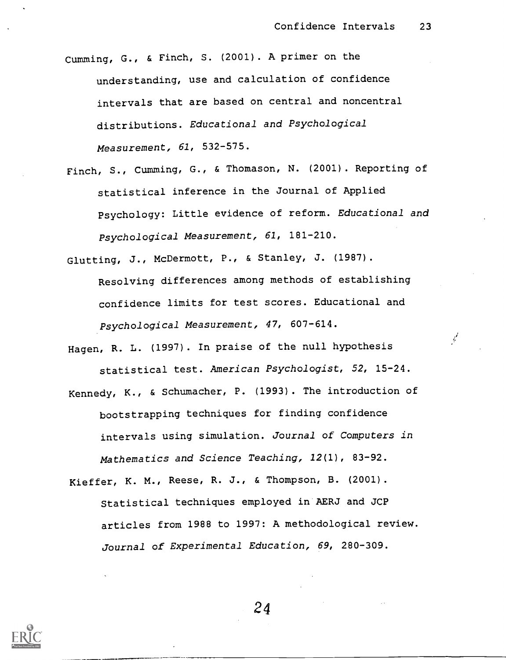Cumming, G., & Finch, S. (2001) . A primer on the understanding, use and calculation of confidence intervals that are based on central and noncentral distributions. Educational and Psychological Measurement, 61, 532-575.

Finch, S., Cumming, G., & Thomason, N. (2001). Reporting of statistical inference in the Journal of Applied Psychology: Little evidence of reform. Educational and Psychological Measurement, 61, 181-210.

Glutting, J., McDermott, P., & Stanley, J. (1987).

- Resolving differences among methods of establishing confidence limits for test scores. Educational and Psychological Measurement, 47, 607-614.
- Hagen, R. L. (1997) . In praise of the null hypothesis statistical test. American Psychologist, 52, 15-24.
- Kennedy, K., & Schumacher, P. (1993). The introduction of bootstrapping techniques for finding confidence intervals using simulation. Journal of Computers in Mathematics and Science Teaching, 12(1), 83-92.
- Kieffer, K. M., Reese, R. J., & Thompson, B. (2001). Statistical techniques employed in AERJ and JCP articles from 1988 to 1997: A methodological review. Journal of Experimental Education, 69, 280-309.

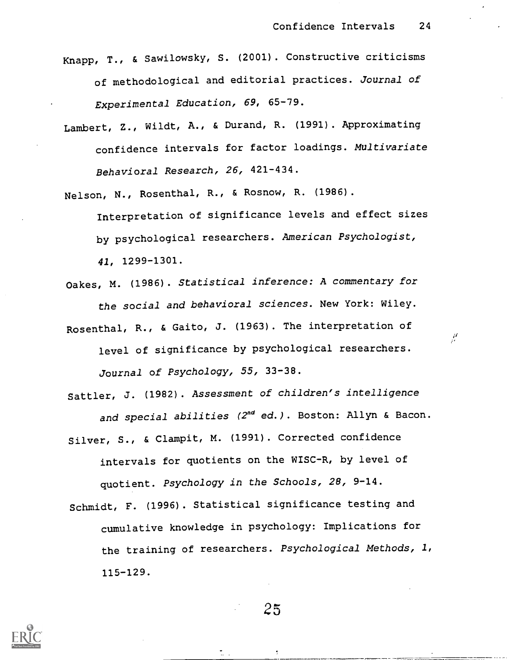- Knapp, T., & Sawilowsky, S. (2001) . Constructive criticisms of methodological and editorial practices. Journal of Experimental Education, 69, 65-79.
- Lambert, Z., Wildt, A., & Durand, R. (1991). Approximating confidence intervals for factor loadings. Multivariate Behavioral Research, 26, 421-434.
- Nelson, N., Rosenthal, R., & Rosnow, R. (1986).

Interpretation of significance levels and effect sizes by psychological researchers. American Psychologist, 41, 1299-1301.

- Oakes, M. (1986). Statistical inference: A commentary for the social and behavioral sciences. New York: Wiley.
- Rosenthal, R., & Gaito, J. (1963). The interpretation of level of significance by psychological researchers. Journal of Psychology, 55, 33-38.
- Sattler, J. (1982). Assessment of children's intelligence and special abilities (2<sup>nd</sup> ed.). Boston: Allyn & Bacon.
- Silver, S., & Clampit, M. (1991). Corrected confidence intervals for quotients on the WISC-R, by level of quotient. Psychology in the Schools, 28, 9-14.
- Schmidt, F. (1996). Statistical significance testing and cumulative knowledge in psychology: Implications for the training of researchers. Psychological Methods, 1, 115-129.

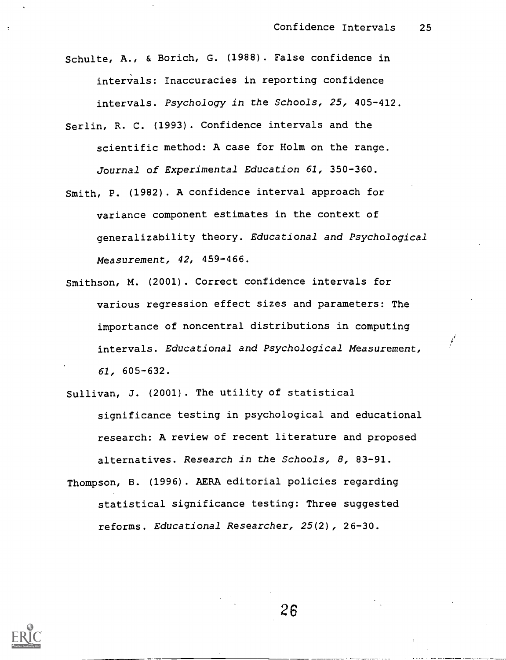Schulte, A., & Borich, G. (1988) . False confidence in intervals: Inaccuracies in reporting confidence intervals. Psychology in the Schools, 25, 405-412.

- Serlin, R. C. (1993). Confidence intervals and the scientific method: A case for Holm on the range. Journal of Experimental Education 61, 350-360.
- Smith, P. (1982). A confidence interval approach for variance component estimates in the context of generalizability theory. Educational and Psychological Measurement, 42, 459-466.
- Smithson, M. (2001). Correct confidence intervals for various regression effect sizes and parameters: The importance of noncentral distributions in computing intervals. Educational and Psychological Measurement, 61, 605-632.

Sullivan, J. (2001) . The utility of statistical significance testing in psychological and educational research: A review of recent literature and proposed alternatives. Research in the Schools, 8, 83-91. Thompson, B. (1996). AERA editorial policies regarding

statistical significance testing: Three suggested reforms. Educational Researcher, 25(2), 26-30.

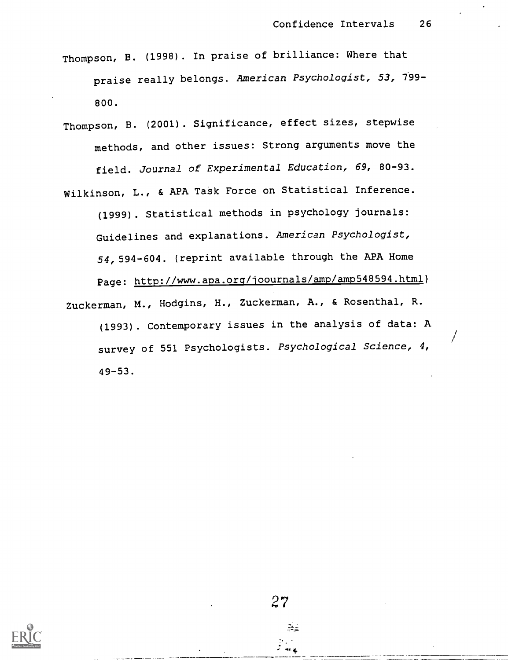- Thompson, B. (1998) . In praise of brilliance: Where that praise really belongs. American Psychologist, 53, 799- 800.
- Thompson, B. (2001) . Significance, effect sizes, stepwise methods, and other issues: Strong arguments move the field. journal of Experimental Education, 69, 80-93. Wilkinson, L., & APA Task Force on Statistical Inference. (1999) . Statistical methods in psychology journals: Guidelines and explanations. American Psychologist, 54,594-604. (reprint available through the APA Home Page: http://www.apa.org/joournals/amp/amp548594.html} Zuckerman, M., Hodgins, H., Zuckerman, A., & Rosenthal, R. (1993). Contemporary issues in the analysis of data: A survey of 551 Psychologists. Psychological Science, 4, 49-53.

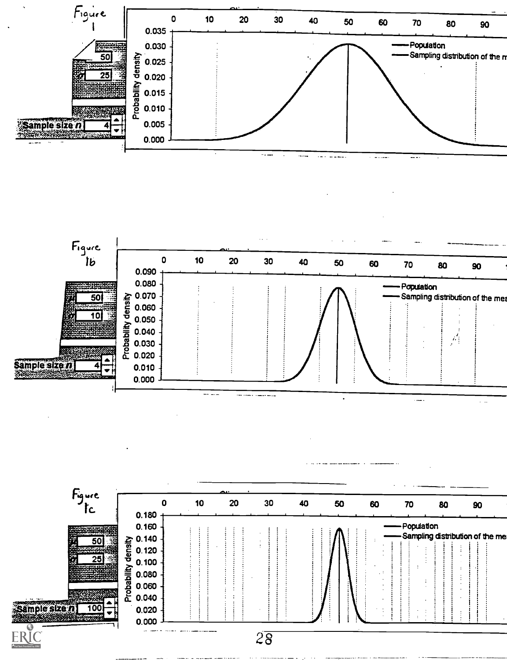

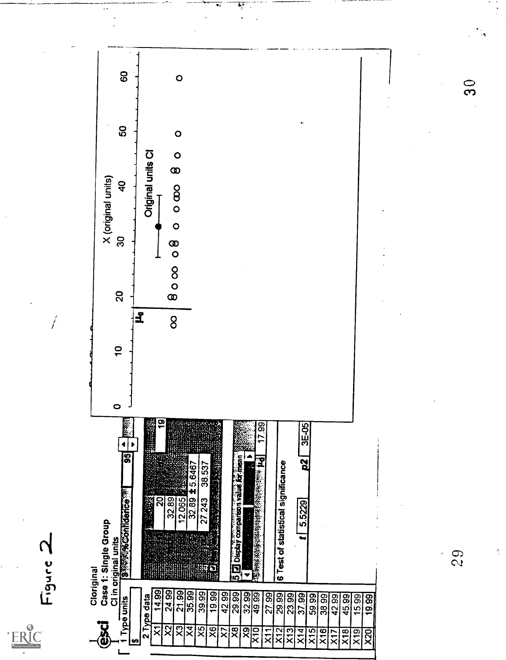

 $29$ 

 $\frac{3}{2}$ 

 $\frac{0}{3}$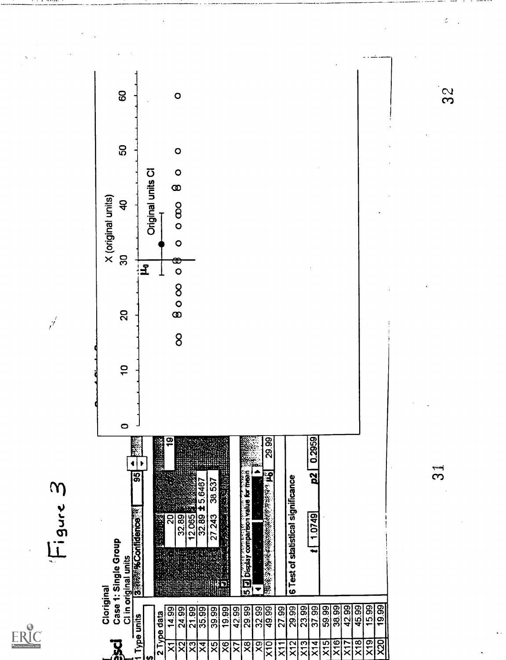

Figure 3

 $\vec{r}$ 



 $32$ 

ć,

 $\mathfrak{L}$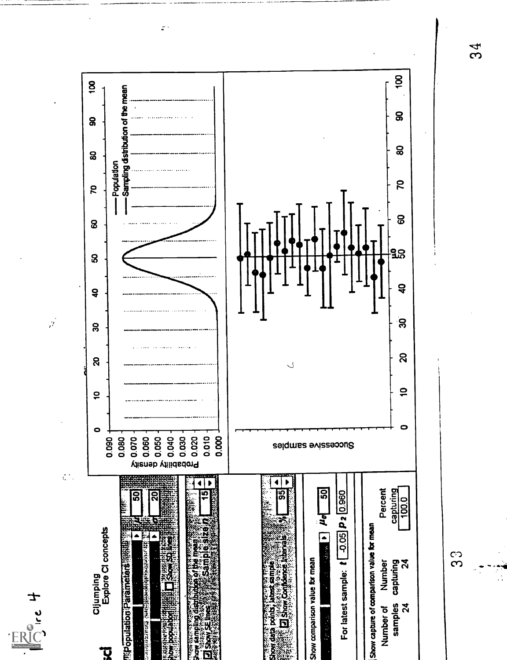

 $\mathbb{R}^3$ 

ι<br>Ω

ွာ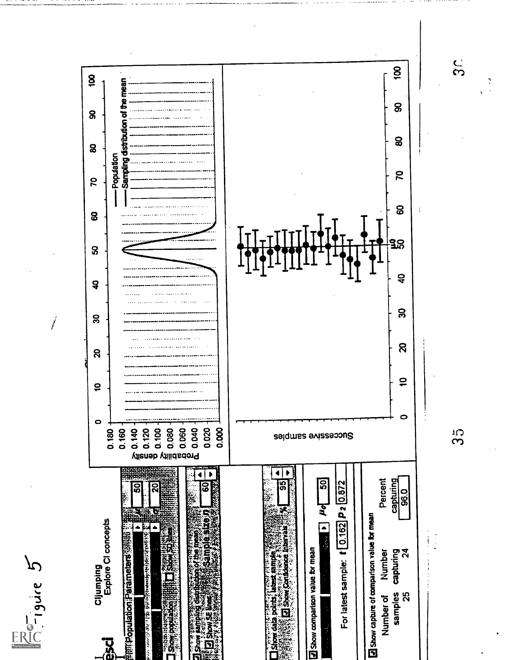

 $G - 19$ ure 5

 $\frac{5}{3}$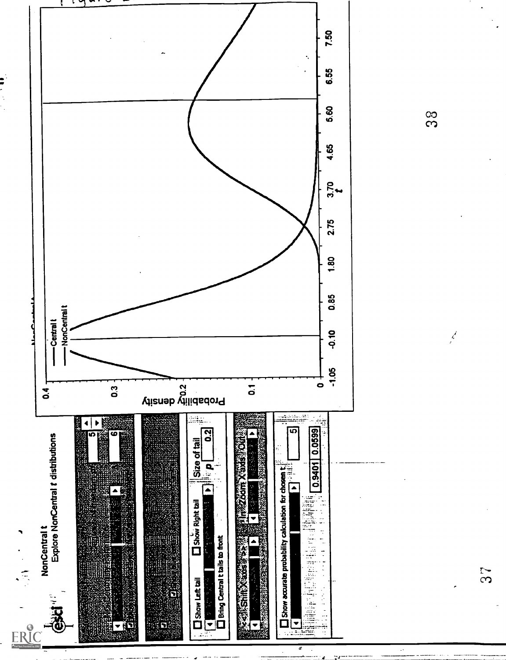

<u>တွ</u>

 $\frac{d}{dt}$ 

 $S<sub>7</sub>$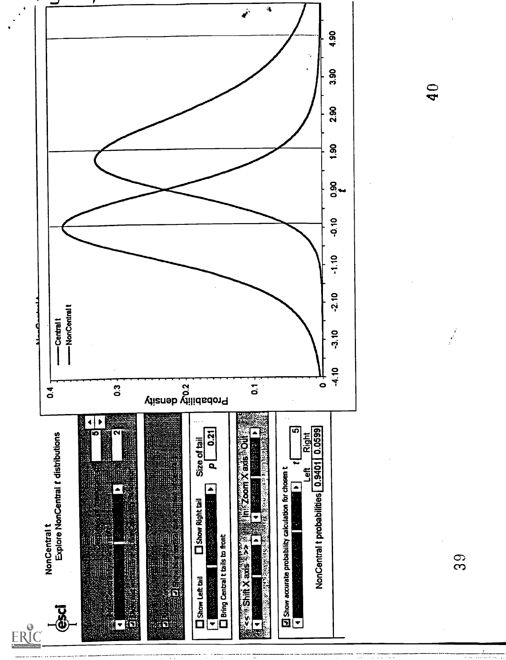

 $\overline{40}$ 

39

 $\frac{d}{dx}$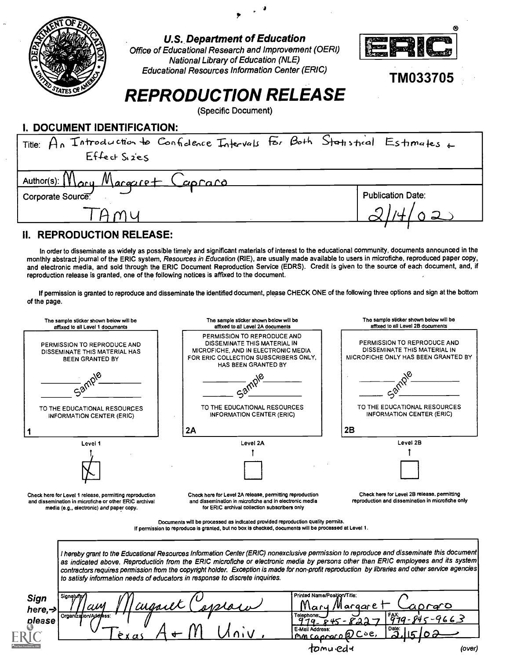

## **U.S. Department of Education**

Office of Educational Research and Improvement (OERI) **National Library of Education (NLE) Educational Resources Information Center (ERIC)** 



**TM033705** 

# **REPRODUCTION RELEASE**

(Specific Document)

| I. DOCUMENI IDENIIFICAIION:                                                        |                          |
|------------------------------------------------------------------------------------|--------------------------|
| Title: $A_n$ Introduction to Confidence Intervals For Both Statistical Estimates + |                          |
| $Effect$ Sizes                                                                     |                          |
| $Author(s)$ : $M$ ary $M$ argaret Capraro                                          |                          |
| Corporate Source:                                                                  | <b>Publication Date:</b> |
|                                                                                    |                          |
|                                                                                    |                          |

## **II. REPRODUCTION RELEASE:**

please

--------------

In order to disseminate as widely as possible timely and significant materials of interest to the educational community, documents announced in the monthly abstract journal of the ERIC system, Resources in Education (RIE), are usually made available to users in microfiche, reproduced paper copy, and electronic media, and sold through the ERIC Document Reproduction Service (EDRS). Credit is given to the source of each document, and, if reproduction release is granted, one of the following notices is affixed to the document.

If permission is granted to reproduce and disseminate the identified document, please CHECK ONE of the following three options and sign at the bottom of the page.



| ັບ<br>.,<br>ussier'<br>am<br>مسملد<br>שווע | ΛИ<br>W<br>∽ح<br>argare<br>1ary                                                     |        |
|--------------------------------------------|-------------------------------------------------------------------------------------|--------|
| Organization/Address:                      | FAX:<br>Telephone.<br>Gu<br>$\overline{\phantom{a}}$<br>$\alpha$ of one of $\alpha$ |        |
|                                            | Date:<br>E-Mail Address:<br>∼<br>∽<br>۰òe,<br><u>Caprocoll</u><br>ጦM<br>◡           |        |
|                                            | tomu edu                                                                            | (over) |